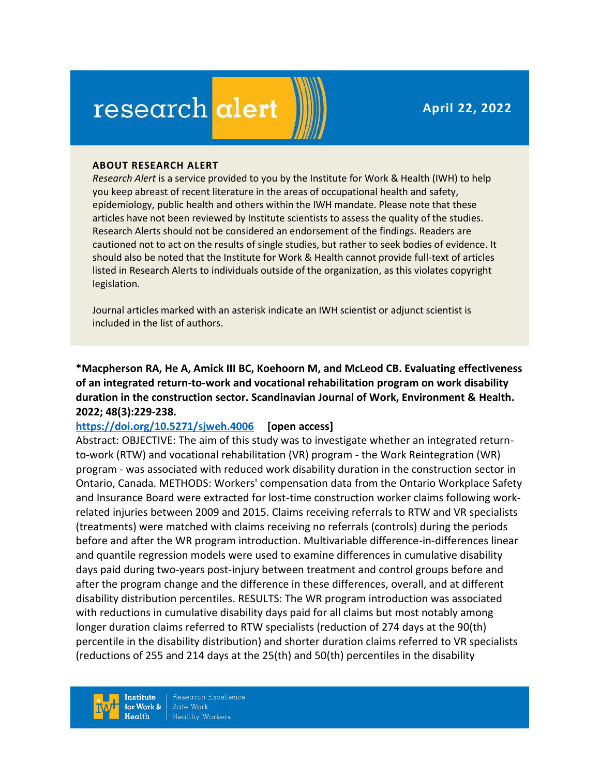**April 22, 2022**

# research alert

#### **ABOUT RESEARCH ALERT**

*Research Alert* is a service provided to you by the Institute for Work & Health (IWH) to help you keep abreast of recent literature in the areas of occupational health and safety, epidemiology, public health and others within the IWH mandate. Please note that these articles have not been reviewed by Institute scientists to assess the quality of the studies. Research Alerts should not be considered an endorsement of the findings. Readers are cautioned not to act on the results of single studies, but rather to seek bodies of evidence. It should also be noted that the Institute for Work & Health cannot provide full-text of articles listed in Research Alerts to individuals outside of the organization, as this violates copyright legislation.

Journal articles marked with an asterisk indicate an IWH scientist or adjunct scientist is included in the list of authors.

**\*Macpherson RA, He A, Amick III BC, Koehoorn M, and McLeod CB. Evaluating effectiveness of an integrated return-to-work and vocational rehabilitation program on work disability duration in the construction sector. Scandinavian Journal of Work, Environment & Health. 2022; 48(3):229-238.** 

#### **<https://doi.org/10.5271/sjweh.4006> [open access]**

Abstract: OBJECTIVE: The aim of this study was to investigate whether an integrated returnto-work (RTW) and vocational rehabilitation (VR) program - the Work Reintegration (WR) program - was associated with reduced work disability duration in the construction sector in Ontario, Canada. METHODS: Workers' compensation data from the Ontario Workplace Safety and Insurance Board were extracted for lost-time construction worker claims following workrelated injuries between 2009 and 2015. Claims receiving referrals to RTW and VR specialists (treatments) were matched with claims receiving no referrals (controls) during the periods before and after the WR program introduction. Multivariable difference-in-differences linear and quantile regression models were used to examine differences in cumulative disability days paid during two-years post-injury between treatment and control groups before and after the program change and the difference in these differences, overall, and at different disability distribution percentiles. RESULTS: The WR program introduction was associated with reductions in cumulative disability days paid for all claims but most notably among longer duration claims referred to RTW specialists (reduction of 274 days at the 90(th) percentile in the disability distribution) and shorter duration claims referred to VR specialists (reductions of 255 and 214 days at the 25(th) and 50(th) percentiles in the disability

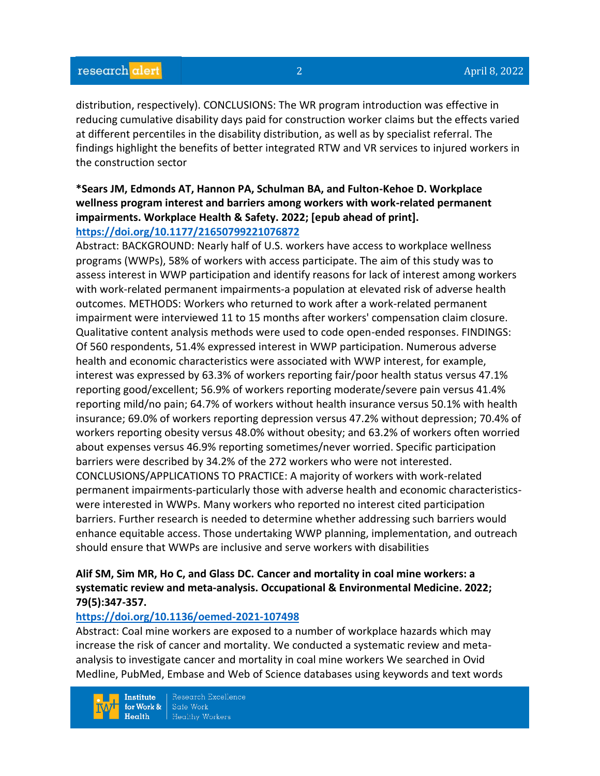distribution, respectively). CONCLUSIONS: The WR program introduction was effective in reducing cumulative disability days paid for construction worker claims but the effects varied at different percentiles in the disability distribution, as well as by specialist referral. The findings highlight the benefits of better integrated RTW and VR services to injured workers in the construction sector

## **\*Sears JM, Edmonds AT, Hannon PA, Schulman BA, and Fulton-Kehoe D. Workplace wellness program interest and barriers among workers with work-related permanent impairments. Workplace Health & Safety. 2022; [epub ahead of print]. <https://doi.org/10.1177/21650799221076872>**

# Abstract: BACKGROUND: Nearly half of U.S. workers have access to workplace wellness programs (WWPs), 58% of workers with access participate. The aim of this study was to assess interest in WWP participation and identify reasons for lack of interest among workers with work-related permanent impairments-a population at elevated risk of adverse health outcomes. METHODS: Workers who returned to work after a work-related permanent impairment were interviewed 11 to 15 months after workers' compensation claim closure. Qualitative content analysis methods were used to code open-ended responses. FINDINGS: Of 560 respondents, 51.4% expressed interest in WWP participation. Numerous adverse health and economic characteristics were associated with WWP interest, for example, interest was expressed by 63.3% of workers reporting fair/poor health status versus 47.1% reporting good/excellent; 56.9% of workers reporting moderate/severe pain versus 41.4% reporting mild/no pain; 64.7% of workers without health insurance versus 50.1% with health insurance; 69.0% of workers reporting depression versus 47.2% without depression; 70.4% of workers reporting obesity versus 48.0% without obesity; and 63.2% of workers often worried about expenses versus 46.9% reporting sometimes/never worried. Specific participation barriers were described by 34.2% of the 272 workers who were not interested. CONCLUSIONS/APPLICATIONS TO PRACTICE: A majority of workers with work-related permanent impairments-particularly those with adverse health and economic characteristicswere interested in WWPs. Many workers who reported no interest cited participation barriers. Further research is needed to determine whether addressing such barriers would enhance equitable access. Those undertaking WWP planning, implementation, and outreach should ensure that WWPs are inclusive and serve workers with disabilities

## **Alif SM, Sim MR, Ho C, and Glass DC. Cancer and mortality in coal mine workers: a systematic review and meta-analysis. Occupational & Environmental Medicine. 2022; 79(5):347-357.**

# **<https://doi.org/10.1136/oemed-2021-107498>**

Abstract: Coal mine workers are exposed to a number of workplace hazards which may increase the risk of cancer and mortality. We conducted a systematic review and metaanalysis to investigate cancer and mortality in coal mine workers We searched in Ovid Medline, PubMed, Embase and Web of Science databases using keywords and text words

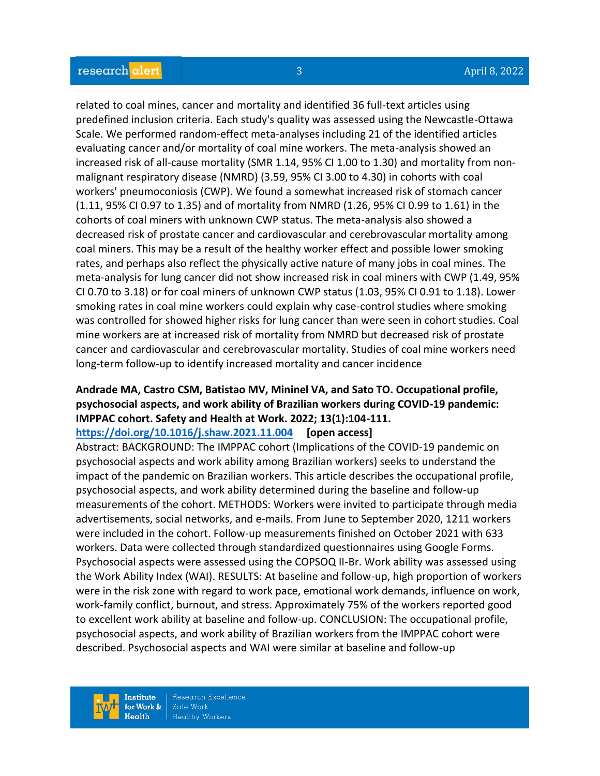related to coal mines, cancer and mortality and identified 36 full-text articles using predefined inclusion criteria. Each study's quality was assessed using the Newcastle-Ottawa Scale. We performed random-effect meta-analyses including 21 of the identified articles evaluating cancer and/or mortality of coal mine workers. The meta-analysis showed an increased risk of all-cause mortality (SMR 1.14, 95% CI 1.00 to 1.30) and mortality from nonmalignant respiratory disease (NMRD) (3.59, 95% CI 3.00 to 4.30) in cohorts with coal workers' pneumoconiosis (CWP). We found a somewhat increased risk of stomach cancer (1.11, 95% CI 0.97 to 1.35) and of mortality from NMRD (1.26, 95% CI 0.99 to 1.61) in the cohorts of coal miners with unknown CWP status. The meta-analysis also showed a decreased risk of prostate cancer and cardiovascular and cerebrovascular mortality among coal miners. This may be a result of the healthy worker effect and possible lower smoking rates, and perhaps also reflect the physically active nature of many jobs in coal mines. The meta-analysis for lung cancer did not show increased risk in coal miners with CWP (1.49, 95% CI 0.70 to 3.18) or for coal miners of unknown CWP status (1.03, 95% CI 0.91 to 1.18). Lower smoking rates in coal mine workers could explain why case-control studies where smoking was controlled for showed higher risks for lung cancer than were seen in cohort studies. Coal mine workers are at increased risk of mortality from NMRD but decreased risk of prostate cancer and cardiovascular and cerebrovascular mortality. Studies of coal mine workers need long-term follow-up to identify increased mortality and cancer incidence

# **Andrade MA, Castro CSM, Batistao MV, Mininel VA, and Sato TO. Occupational profile, psychosocial aspects, and work ability of Brazilian workers during COVID-19 pandemic: IMPPAC cohort. Safety and Health at Work. 2022; 13(1):104-111.**

**<https://doi.org/10.1016/j.shaw.2021.11.004> [open access]**

Abstract: BACKGROUND: The IMPPAC cohort (Implications of the COVID-19 pandemic on psychosocial aspects and work ability among Brazilian workers) seeks to understand the impact of the pandemic on Brazilian workers. This article describes the occupational profile, psychosocial aspects, and work ability determined during the baseline and follow-up measurements of the cohort. METHODS: Workers were invited to participate through media advertisements, social networks, and e-mails. From June to September 2020, 1211 workers were included in the cohort. Follow-up measurements finished on October 2021 with 633 workers. Data were collected through standardized questionnaires using Google Forms. Psychosocial aspects were assessed using the COPSOQ II-Br. Work ability was assessed using the Work Ability Index (WAI). RESULTS: At baseline and follow-up, high proportion of workers were in the risk zone with regard to work pace, emotional work demands, influence on work, work-family conflict, burnout, and stress. Approximately 75% of the workers reported good to excellent work ability at baseline and follow-up. CONCLUSION: The occupational profile, psychosocial aspects, and work ability of Brazilian workers from the IMPPAC cohort were described. Psychosocial aspects and WAI were similar at baseline and follow-up

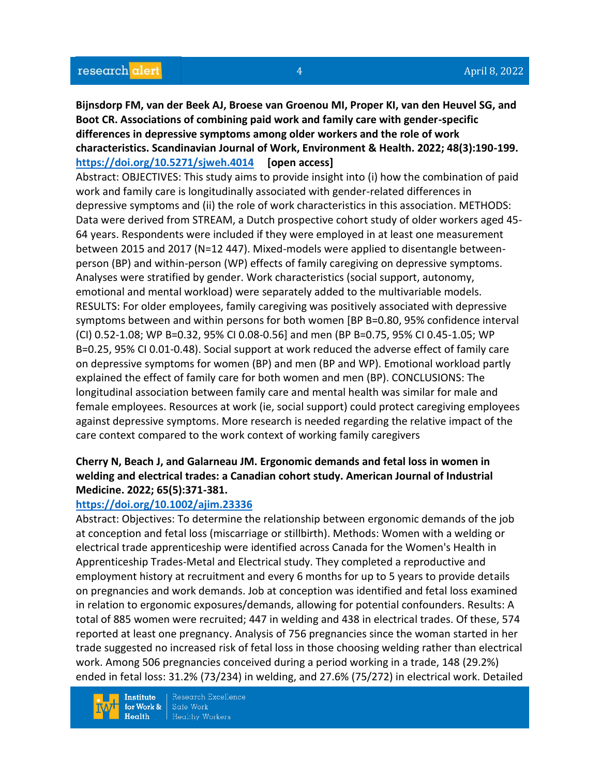**Bijnsdorp FM, van der Beek AJ, Broese van Groenou MI, Proper KI, van den Heuvel SG, and Boot CR. Associations of combining paid work and family care with gender-specific differences in depressive symptoms among older workers and the role of work characteristics. Scandinavian Journal of Work, Environment & Health. 2022; 48(3):190-199. <https://doi.org/10.5271/sjweh.4014> [open access]**

Abstract: OBJECTIVES: This study aims to provide insight into (i) how the combination of paid work and family care is longitudinally associated with gender-related differences in depressive symptoms and (ii) the role of work characteristics in this association. METHODS: Data were derived from STREAM, a Dutch prospective cohort study of older workers aged 45- 64 years. Respondents were included if they were employed in at least one measurement between 2015 and 2017 (N=12 447). Mixed-models were applied to disentangle betweenperson (BP) and within-person (WP) effects of family caregiving on depressive symptoms. Analyses were stratified by gender. Work characteristics (social support, autonomy, emotional and mental workload) were separately added to the multivariable models. RESULTS: For older employees, family caregiving was positively associated with depressive symptoms between and within persons for both women [BP B=0.80, 95% confidence interval (CI) 0.52-1.08; WP B=0.32, 95% CI 0.08-0.56] and men (BP B=0.75, 95% CI 0.45-1.05; WP B=0.25, 95% CI 0.01-0.48). Social support at work reduced the adverse effect of family care on depressive symptoms for women (BP) and men (BP and WP). Emotional workload partly explained the effect of family care for both women and men (BP). CONCLUSIONS: The longitudinal association between family care and mental health was similar for male and female employees. Resources at work (ie, social support) could protect caregiving employees against depressive symptoms. More research is needed regarding the relative impact of the care context compared to the work context of working family caregivers

# **Cherry N, Beach J, and Galarneau JM. Ergonomic demands and fetal loss in women in welding and electrical trades: a Canadian cohort study. American Journal of Industrial Medicine. 2022; 65(5):371-381.**

## **<https://doi.org/10.1002/ajim.23336>**

Abstract: Objectives: To determine the relationship between ergonomic demands of the job at conception and fetal loss (miscarriage or stillbirth). Methods: Women with a welding or electrical trade apprenticeship were identified across Canada for the Women's Health in Apprenticeship Trades-Metal and Electrical study. They completed a reproductive and employment history at recruitment and every 6 months for up to 5 years to provide details on pregnancies and work demands. Job at conception was identified and fetal loss examined in relation to ergonomic exposures/demands, allowing for potential confounders. Results: A total of 885 women were recruited; 447 in welding and 438 in electrical trades. Of these, 574 reported at least one pregnancy. Analysis of 756 pregnancies since the woman started in her trade suggested no increased risk of fetal loss in those choosing welding rather than electrical work. Among 506 pregnancies conceived during a period working in a trade, 148 (29.2%) ended in fetal loss: 31.2% (73/234) in welding, and 27.6% (75/272) in electrical work. Detailed

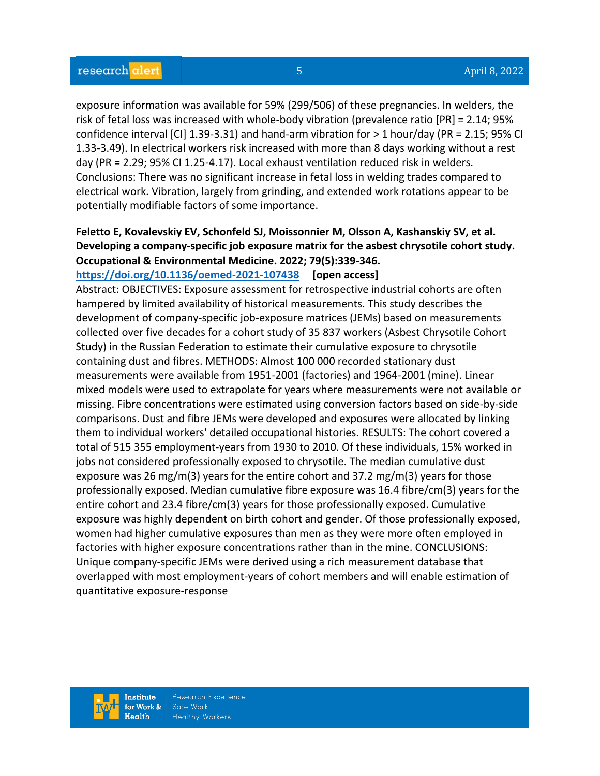exposure information was available for 59% (299/506) of these pregnancies. In welders, the risk of fetal loss was increased with whole-body vibration (prevalence ratio [PR] = 2.14; 95% confidence interval [CI] 1.39-3.31) and hand-arm vibration for > 1 hour/day (PR = 2.15; 95% CI 1.33-3.49). In electrical workers risk increased with more than 8 days working without a rest day (PR = 2.29; 95% CI 1.25-4.17). Local exhaust ventilation reduced risk in welders. Conclusions: There was no significant increase in fetal loss in welding trades compared to electrical work. Vibration, largely from grinding, and extended work rotations appear to be potentially modifiable factors of some importance.

# **Feletto E, Kovalevskiy EV, Schonfeld SJ, Moissonnier M, Olsson A, Kashanskiy SV, et al. Developing a company-specific job exposure matrix for the asbest chrysotile cohort study. Occupational & Environmental Medicine. 2022; 79(5):339-346.**

**<https://doi.org/10.1136/oemed-2021-107438> [open access]**

Abstract: OBJECTIVES: Exposure assessment for retrospective industrial cohorts are often hampered by limited availability of historical measurements. This study describes the development of company-specific job-exposure matrices (JEMs) based on measurements collected over five decades for a cohort study of 35 837 workers (Asbest Chrysotile Cohort Study) in the Russian Federation to estimate their cumulative exposure to chrysotile containing dust and fibres. METHODS: Almost 100 000 recorded stationary dust measurements were available from 1951-2001 (factories) and 1964-2001 (mine). Linear mixed models were used to extrapolate for years where measurements were not available or missing. Fibre concentrations were estimated using conversion factors based on side-by-side comparisons. Dust and fibre JEMs were developed and exposures were allocated by linking them to individual workers' detailed occupational histories. RESULTS: The cohort covered a total of 515 355 employment-years from 1930 to 2010. Of these individuals, 15% worked in jobs not considered professionally exposed to chrysotile. The median cumulative dust exposure was 26 mg/m(3) years for the entire cohort and 37.2 mg/m(3) years for those professionally exposed. Median cumulative fibre exposure was 16.4 fibre/cm(3) years for the entire cohort and 23.4 fibre/cm(3) years for those professionally exposed. Cumulative exposure was highly dependent on birth cohort and gender. Of those professionally exposed, women had higher cumulative exposures than men as they were more often employed in factories with higher exposure concentrations rather than in the mine. CONCLUSIONS: Unique company-specific JEMs were derived using a rich measurement database that overlapped with most employment-years of cohort members and will enable estimation of quantitative exposure-response

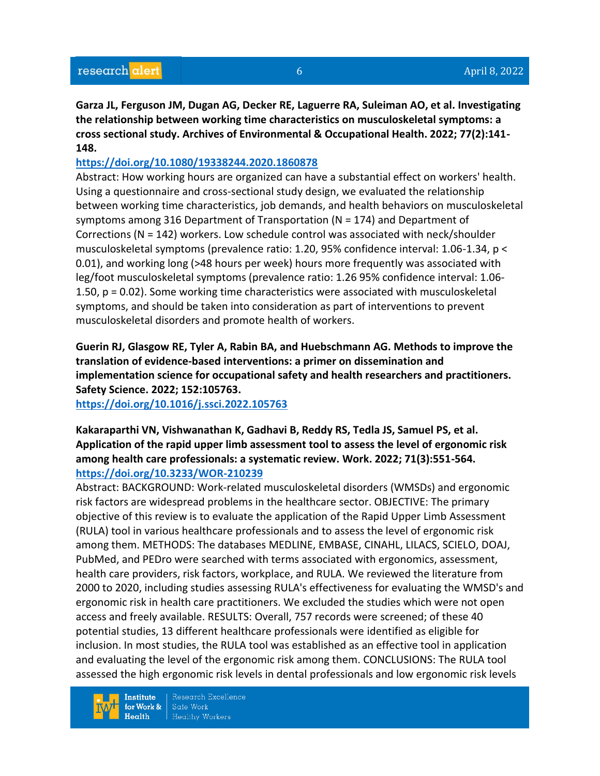**Garza JL, Ferguson JM, Dugan AG, Decker RE, Laguerre RA, Suleiman AO, et al. Investigating the relationship between working time characteristics on musculoskeletal symptoms: a cross sectional study. Archives of Environmental & Occupational Health. 2022; 77(2):141- 148.** 

## **<https://doi.org/10.1080/19338244.2020.1860878>**

Abstract: How working hours are organized can have a substantial effect on workers' health. Using a questionnaire and cross-sectional study design, we evaluated the relationship between working time characteristics, job demands, and health behaviors on musculoskeletal symptoms among 316 Department of Transportation (N = 174) and Department of Corrections (N = 142) workers. Low schedule control was associated with neck/shoulder musculoskeletal symptoms (prevalence ratio: 1.20, 95% confidence interval: 1.06-1.34, p < 0.01), and working long (>48 hours per week) hours more frequently was associated with leg/foot musculoskeletal symptoms (prevalence ratio: 1.26 95% confidence interval: 1.06- 1.50, p = 0.02). Some working time characteristics were associated with musculoskeletal symptoms, and should be taken into consideration as part of interventions to prevent musculoskeletal disorders and promote health of workers.

**Guerin RJ, Glasgow RE, Tyler A, Rabin BA, and Huebschmann AG. Methods to improve the translation of evidence-based interventions: a primer on dissemination and implementation science for occupational safety and health researchers and practitioners. Safety Science. 2022; 152:105763.**

**<https://doi.org/10.1016/j.ssci.2022.105763>** 

# **Kakaraparthi VN, Vishwanathan K, Gadhavi B, Reddy RS, Tedla JS, Samuel PS, et al. Application of the rapid upper limb assessment tool to assess the level of ergonomic risk among health care professionals: a systematic review. Work. 2022; 71(3):551-564. <https://doi.org/10.3233/WOR-210239>**

Abstract: BACKGROUND: Work-related musculoskeletal disorders (WMSDs) and ergonomic risk factors are widespread problems in the healthcare sector. OBJECTIVE: The primary objective of this review is to evaluate the application of the Rapid Upper Limb Assessment (RULA) tool in various healthcare professionals and to assess the level of ergonomic risk among them. METHODS: The databases MEDLINE, EMBASE, CINAHL, LILACS, SCIELO, DOAJ, PubMed, and PEDro were searched with terms associated with ergonomics, assessment, health care providers, risk factors, workplace, and RULA. We reviewed the literature from 2000 to 2020, including studies assessing RULA's effectiveness for evaluating the WMSD's and ergonomic risk in health care practitioners. We excluded the studies which were not open access and freely available. RESULTS: Overall, 757 records were screened; of these 40 potential studies, 13 different healthcare professionals were identified as eligible for inclusion. In most studies, the RULA tool was established as an effective tool in application and evaluating the level of the ergonomic risk among them. CONCLUSIONS: The RULA tool assessed the high ergonomic risk levels in dental professionals and low ergonomic risk levels

Institute for Work &  $Health$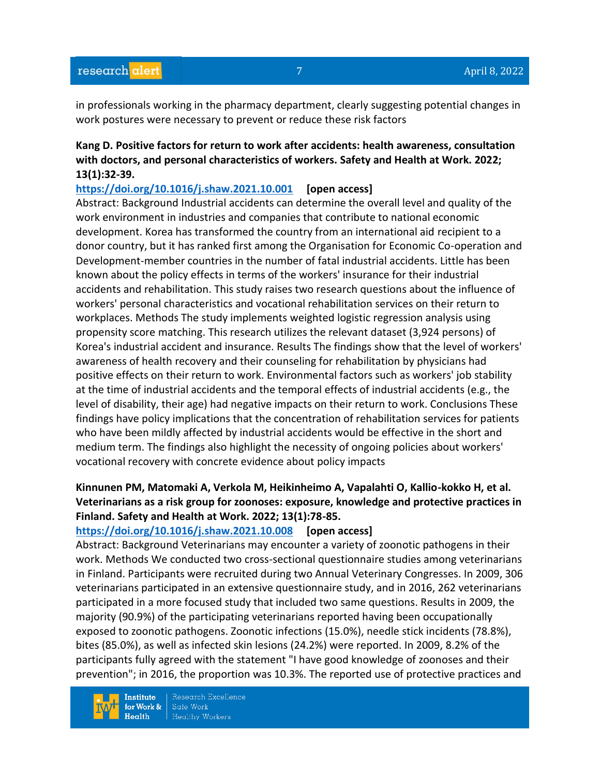in professionals working in the pharmacy department, clearly suggesting potential changes in work postures were necessary to prevent or reduce these risk factors

### **Kang D. Positive factors for return to work after accidents: health awareness, consultation with doctors, and personal characteristics of workers. Safety and Health at Work. 2022; 13(1):32-39.**

#### **<https://doi.org/10.1016/j.shaw.2021.10.001> [open access]**

Abstract: Background Industrial accidents can determine the overall level and quality of the work environment in industries and companies that contribute to national economic development. Korea has transformed the country from an international aid recipient to a donor country, but it has ranked first among the Organisation for Economic Co-operation and Development-member countries in the number of fatal industrial accidents. Little has been known about the policy effects in terms of the workers' insurance for their industrial accidents and rehabilitation. This study raises two research questions about the influence of workers' personal characteristics and vocational rehabilitation services on their return to workplaces. Methods The study implements weighted logistic regression analysis using propensity score matching. This research utilizes the relevant dataset (3,924 persons) of Korea's industrial accident and insurance. Results The findings show that the level of workers' awareness of health recovery and their counseling for rehabilitation by physicians had positive effects on their return to work. Environmental factors such as workers' job stability at the time of industrial accidents and the temporal effects of industrial accidents (e.g., the level of disability, their age) had negative impacts on their return to work. Conclusions These findings have policy implications that the concentration of rehabilitation services for patients who have been mildly affected by industrial accidents would be effective in the short and medium term. The findings also highlight the necessity of ongoing policies about workers' vocational recovery with concrete evidence about policy impacts

# **Kinnunen PM, Matomaki A, Verkola M, Heikinheimo A, Vapalahti O, Kallio-kokko H, et al. Veterinarians as a risk group for zoonoses: exposure, knowledge and protective practices in Finland. Safety and Health at Work. 2022; 13(1):78-85.**

#### **<https://doi.org/10.1016/j.shaw.2021.10.008> [open access]**

Abstract: Background Veterinarians may encounter a variety of zoonotic pathogens in their work. Methods We conducted two cross-sectional questionnaire studies among veterinarians in Finland. Participants were recruited during two Annual Veterinary Congresses. In 2009, 306 veterinarians participated in an extensive questionnaire study, and in 2016, 262 veterinarians participated in a more focused study that included two same questions. Results in 2009, the majority (90.9%) of the participating veterinarians reported having been occupationally exposed to zoonotic pathogens. Zoonotic infections (15.0%), needle stick incidents (78.8%), bites (85.0%), as well as infected skin lesions (24.2%) were reported. In 2009, 8.2% of the participants fully agreed with the statement "I have good knowledge of zoonoses and their prevention"; in 2016, the proportion was 10.3%. The reported use of protective practices and

**Institute** for Work &  $Heath$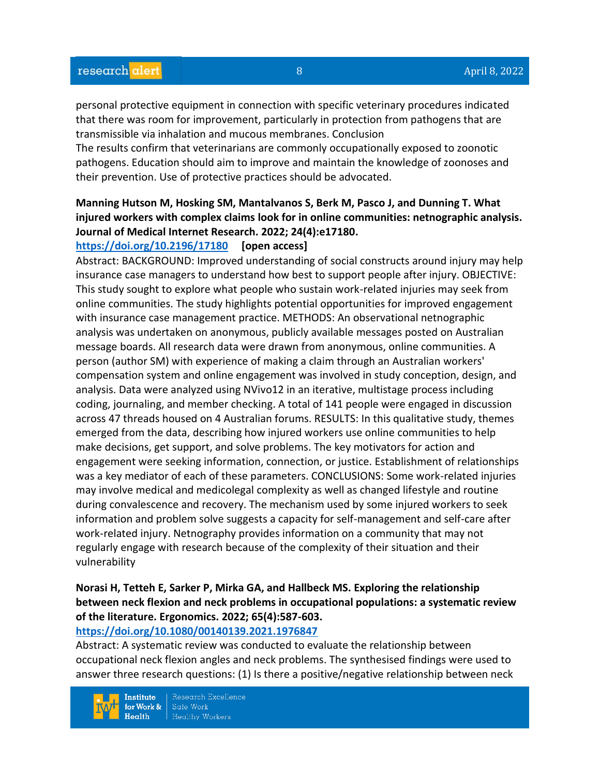personal protective equipment in connection with specific veterinary procedures indicated that there was room for improvement, particularly in protection from pathogens that are transmissible via inhalation and mucous membranes. Conclusion

The results confirm that veterinarians are commonly occupationally exposed to zoonotic pathogens. Education should aim to improve and maintain the knowledge of zoonoses and their prevention. Use of protective practices should be advocated.

# **Manning Hutson M, Hosking SM, Mantalvanos S, Berk M, Pasco J, and Dunning T. What injured workers with complex claims look for in online communities: netnographic analysis. Journal of Medical Internet Research. 2022; 24(4):e17180.**

### **<https://doi.org/10.2196/17180> [open access]**

Abstract: BACKGROUND: Improved understanding of social constructs around injury may help insurance case managers to understand how best to support people after injury. OBJECTIVE: This study sought to explore what people who sustain work-related injuries may seek from online communities. The study highlights potential opportunities for improved engagement with insurance case management practice. METHODS: An observational netnographic analysis was undertaken on anonymous, publicly available messages posted on Australian message boards. All research data were drawn from anonymous, online communities. A person (author SM) with experience of making a claim through an Australian workers' compensation system and online engagement was involved in study conception, design, and analysis. Data were analyzed using NVivo12 in an iterative, multistage process including coding, journaling, and member checking. A total of 141 people were engaged in discussion across 47 threads housed on 4 Australian forums. RESULTS: In this qualitative study, themes emerged from the data, describing how injured workers use online communities to help make decisions, get support, and solve problems. The key motivators for action and engagement were seeking information, connection, or justice. Establishment of relationships was a key mediator of each of these parameters. CONCLUSIONS: Some work-related injuries may involve medical and medicolegal complexity as well as changed lifestyle and routine during convalescence and recovery. The mechanism used by some injured workers to seek information and problem solve suggests a capacity for self-management and self-care after work-related injury. Netnography provides information on a community that may not regularly engage with research because of the complexity of their situation and their vulnerability

# **Norasi H, Tetteh E, Sarker P, Mirka GA, and Hallbeck MS. Exploring the relationship between neck flexion and neck problems in occupational populations: a systematic review of the literature. Ergonomics. 2022; 65(4):587-603.**

#### **<https://doi.org/10.1080/00140139.2021.1976847>**

Abstract: A systematic review was conducted to evaluate the relationship between occupational neck flexion angles and neck problems. The synthesised findings were used to answer three research questions: (1) Is there a positive/negative relationship between neck

**Institute** for Work &  $Heath$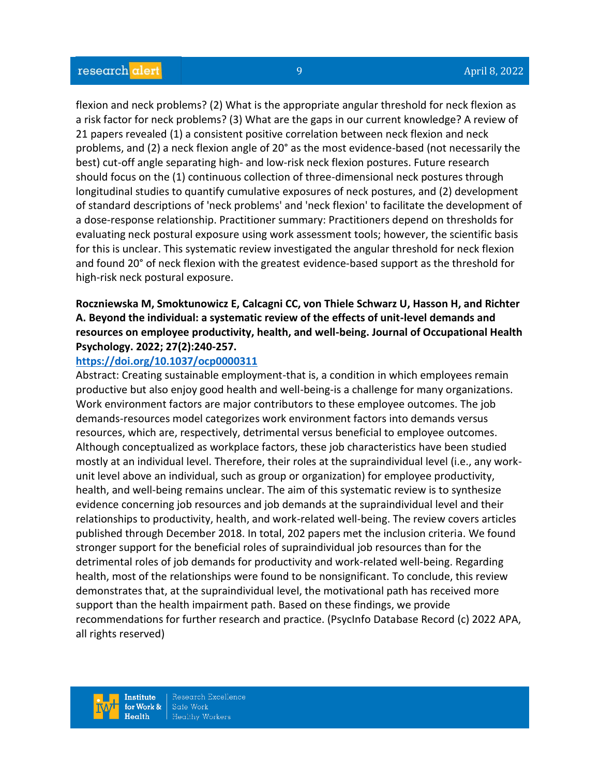flexion and neck problems? (2) What is the appropriate angular threshold for neck flexion as a risk factor for neck problems? (3) What are the gaps in our current knowledge? A review of 21 papers revealed (1) a consistent positive correlation between neck flexion and neck problems, and (2) a neck flexion angle of 20° as the most evidence-based (not necessarily the best) cut-off angle separating high- and low-risk neck flexion postures. Future research should focus on the (1) continuous collection of three-dimensional neck postures through longitudinal studies to quantify cumulative exposures of neck postures, and (2) development of standard descriptions of 'neck problems' and 'neck flexion' to facilitate the development of a dose-response relationship. Practitioner summary: Practitioners depend on thresholds for evaluating neck postural exposure using work assessment tools; however, the scientific basis for this is unclear. This systematic review investigated the angular threshold for neck flexion and found 20° of neck flexion with the greatest evidence-based support as the threshold for high-risk neck postural exposure.

# **Roczniewska M, Smoktunowicz E, Calcagni CC, von Thiele Schwarz U, Hasson H, and Richter A. Beyond the individual: a systematic review of the effects of unit-level demands and resources on employee productivity, health, and well-being. Journal of Occupational Health Psychology. 2022; 27(2):240-257.**

#### **<https://doi.org/10.1037/ocp0000311>**

Abstract: Creating sustainable employment-that is, a condition in which employees remain productive but also enjoy good health and well-being-is a challenge for many organizations. Work environment factors are major contributors to these employee outcomes. The job demands-resources model categorizes work environment factors into demands versus resources, which are, respectively, detrimental versus beneficial to employee outcomes. Although conceptualized as workplace factors, these job characteristics have been studied mostly at an individual level. Therefore, their roles at the supraindividual level (i.e., any workunit level above an individual, such as group or organization) for employee productivity, health, and well-being remains unclear. The aim of this systematic review is to synthesize evidence concerning job resources and job demands at the supraindividual level and their relationships to productivity, health, and work-related well-being. The review covers articles published through December 2018. In total, 202 papers met the inclusion criteria. We found stronger support for the beneficial roles of supraindividual job resources than for the detrimental roles of job demands for productivity and work-related well-being. Regarding health, most of the relationships were found to be nonsignificant. To conclude, this review demonstrates that, at the supraindividual level, the motivational path has received more support than the health impairment path. Based on these findings, we provide recommendations for further research and practice. (PsycInfo Database Record (c) 2022 APA, all rights reserved)

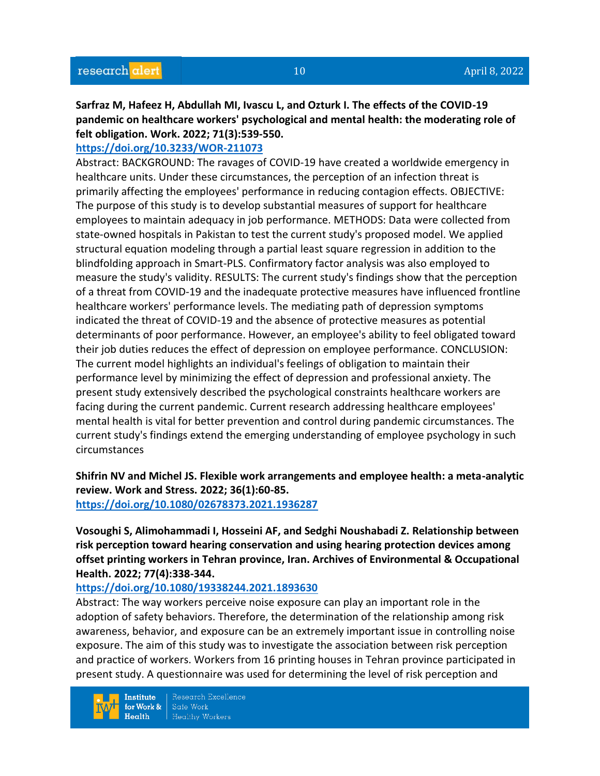**Sarfraz M, Hafeez H, Abdullah MI, Ivascu L, and Ozturk I. The effects of the COVID-19 pandemic on healthcare workers' psychological and mental health: the moderating role of felt obligation. Work. 2022; 71(3):539-550.** 

### **<https://doi.org/10.3233/WOR-211073>**

Abstract: BACKGROUND: The ravages of COVID-19 have created a worldwide emergency in healthcare units. Under these circumstances, the perception of an infection threat is primarily affecting the employees' performance in reducing contagion effects. OBJECTIVE: The purpose of this study is to develop substantial measures of support for healthcare employees to maintain adequacy in job performance. METHODS: Data were collected from state-owned hospitals in Pakistan to test the current study's proposed model. We applied structural equation modeling through a partial least square regression in addition to the blindfolding approach in Smart-PLS. Confirmatory factor analysis was also employed to measure the study's validity. RESULTS: The current study's findings show that the perception of a threat from COVID-19 and the inadequate protective measures have influenced frontline healthcare workers' performance levels. The mediating path of depression symptoms indicated the threat of COVID-19 and the absence of protective measures as potential determinants of poor performance. However, an employee's ability to feel obligated toward their job duties reduces the effect of depression on employee performance. CONCLUSION: The current model highlights an individual's feelings of obligation to maintain their performance level by minimizing the effect of depression and professional anxiety. The present study extensively described the psychological constraints healthcare workers are facing during the current pandemic. Current research addressing healthcare employees' mental health is vital for better prevention and control during pandemic circumstances. The current study's findings extend the emerging understanding of employee psychology in such circumstances

**Shifrin NV and Michel JS. Flexible work arrangements and employee health: a meta-analytic review. Work and Stress. 2022; 36(1):60-85. <https://doi.org/10.1080/02678373.2021.1936287>** 

**Vosoughi S, Alimohammadi I, Hosseini AF, and Sedghi Noushabadi Z. Relationship between risk perception toward hearing conservation and using hearing protection devices among offset printing workers in Tehran province, Iran. Archives of Environmental & Occupational Health. 2022; 77(4):338-344.** 

#### **<https://doi.org/10.1080/19338244.2021.1893630>**

Abstract: The way workers perceive noise exposure can play an important role in the adoption of safety behaviors. Therefore, the determination of the relationship among risk awareness, behavior, and exposure can be an extremely important issue in controlling noise exposure. The aim of this study was to investigate the association between risk perception and practice of workers. Workers from 16 printing houses in Tehran province participated in present study. A questionnaire was used for determining the level of risk perception and